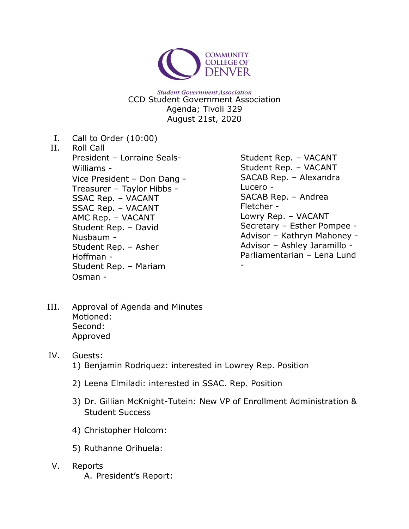

**Student Government Association** CCD Student Government Association Agenda; Tivoli 329 August 21st, 2020

- I. Call to Order (10:00)
- II. Roll Call President – Lorraine Seals-Williams - Vice President – Don Dang - Treasurer – Taylor Hibbs - SSAC Rep. – VACANT SSAC Rep. – VACANT AMC Rep. – VACANT Student Rep. – David Nusbaum - Student Rep. – Asher Hoffman - Student Rep. – Mariam Osman -
- Student Rep. VACANT Student Rep. – VACANT SACAB Rep. – Alexandra Lucero - SACAB Rep. – Andrea Fletcher - Lowry Rep. – VACANT Secretary – Esther Pompee - Advisor – Kathryn Mahoney - Advisor – Ashley Jaramillo - Parliamentarian – Lena Lund

III. Approval of Agenda and Minutes Motioned: Second: Approved

## IV. Guests: 1) Benjamin Rodriquez: interested in Lowrey Rep. Position

- 2) Leena Elmiladi: interested in SSAC. Rep. Position
- 3) Dr. Gillian McKnight-Tutein: New VP of Enrollment Administration & Student Success

-

- 4) Christopher Holcom:
- 5) Ruthanne Orihuela:
- V. Reports A. President's Report: